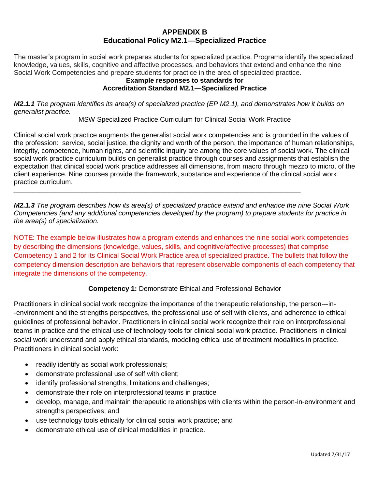### **APPENDIX B Educational Policy M2.1—Specialized Practice**

The master's program in social work prepares students for specialized practice. Programs identify the specialized knowledge, values, skills, cognitive and affective processes, and behaviors that extend and enhance the nine Social Work Competencies and prepare students for practice in the area of specialized practice.

#### **Example responses to standards for Accreditation Standard M2.1—Specialized Practice**

*M2.1.1 The program identifies its area(s) of specialized practice (EP M2.1), and demonstrates how it builds on generalist practice.*

MSW Specialized Practice Curriculum for Clinical Social Work Practice

Clinical social work practice augments the generalist social work competencies and is grounded in the values of the profession: service, social justice, the dignity and worth of the person, the importance of human relationships, integrity, competence, human rights, and scientific inquiry are among the core values of social work. The clinical social work practice curriculum builds on generalist practice through courses and assignments that establish the expectation that clinical social work practice addresses all dimensions, from macro through mezzo to micro, of the client experience. Nine courses provide the framework, substance and experience of the clinical social work practice curriculum.

*M2.1.3 The program describes how its area(s) of specialized practice extend and enhance the nine Social Work Competencies (and any additional competencies developed by the program) to prepare students for practice in the area(s) of specialization.*

*\_\_\_\_\_\_\_\_\_\_\_\_\_\_\_\_\_\_\_\_\_\_\_\_\_\_\_\_\_\_\_\_\_\_\_\_\_\_\_\_\_\_\_\_\_\_\_\_\_\_\_\_\_\_\_\_\_\_\_\_\_\_\_\_\_\_\_\_\_\_\_\_\_\_\_\_*

NOTE: The example below illustrates how a program extends and enhances the nine social work competencies by describing the dimensions (knowledge, values, skills, and cognitive/affective processes) that comprise Competency 1 and 2 for its Clinical Social Work Practice area of specialized practice. The bullets that follow the competency dimension description are behaviors that represent observable components of each competency that integrate the dimensions of the competency.

# **Competency 1:** Demonstrate Ethical and Professional Behavior

Practitioners in clinical social work recognize the importance of the therapeutic relationship, the person--‐in- -environment and the strengths perspectives, the professional use of self with clients, and adherence to ethical guidelines of professional behavior. Practitioners in clinical social work recognize their role on interprofessional teams in practice and the ethical use of technology tools for clinical social work practice. Practitioners in clinical social work understand and apply ethical standards, modeling ethical use of treatment modalities in practice. Practitioners in clinical social work:

- readily identify as social work professionals;
- demonstrate professional use of self with client;
- identify professional strengths, limitations and challenges;
- demonstrate their role on interprofessional teams in practice
- develop, manage, and maintain therapeutic relationships with clients within the person-in-environment and strengths perspectives; and
- use technology tools ethically for clinical social work practice; and
- demonstrate ethical use of clinical modalities in practice.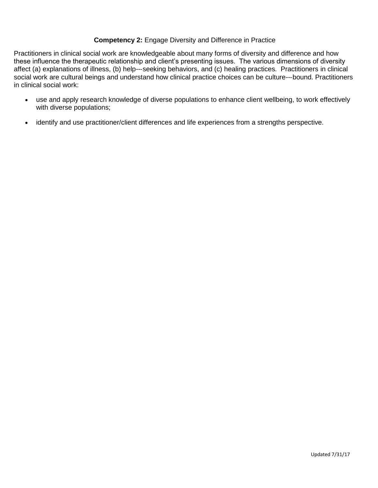### **Competency 2:** Engage Diversity and Difference in Practice

Practitioners in clinical social work are knowledgeable about many forms of diversity and difference and how these influence the therapeutic relationship and client's presenting issues. The various dimensions of diversity affect (a) explanations of illness, (b) help--‐seeking behaviors, and (c) healing practices. Practitioners in clinical social work are cultural beings and understand how clinical practice choices can be culture---bound. Practitioners in clinical social work:

- use and apply research knowledge of diverse populations to enhance client wellbeing, to work effectively with diverse populations;
- identify and use practitioner/client differences and life experiences from a strengths perspective.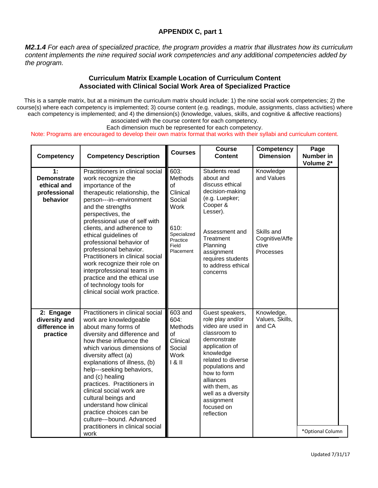### **APPENDIX C, part 1**

*M2.1.4 For each area of specialized practice, the program provides a matrix that illustrates how its curriculum content implements the nine required social work competencies and any additional competencies added by the program.*

#### **Curriculum Matrix Example Location of Curriculum Content Associated with Clinical Social Work Area of Specialized Practice**

This is a sample matrix, but at a minimum the curriculum matrix should include: 1) the nine social work competencies; 2) the course(s) where each competency is implemented; 3) course content (e.g. readings, module, assignments, class activities) where each competency is implemented; and 4) the dimension(s) (knowledge, values, skills, and cognitive & affective reactions) associated with the course content for each competency.

Each dimension much be represented for each competency.

Note: Programs are encouraged to develop their own matrix format that works with their syllabi and curriculum content.

| <b>Competency</b>                                                   | <b>Competency Description</b>                                                                                                                                                                                                                                                                                                                                                                                                                                                                        | <b>Courses</b>                                                                           | <b>Course</b><br><b>Content</b>                                                                                                                                                                                                                                               | <b>Competency</b><br><b>Dimension</b>   | Page<br><b>Number in</b><br>Volume 2* |
|---------------------------------------------------------------------|------------------------------------------------------------------------------------------------------------------------------------------------------------------------------------------------------------------------------------------------------------------------------------------------------------------------------------------------------------------------------------------------------------------------------------------------------------------------------------------------------|------------------------------------------------------------------------------------------|-------------------------------------------------------------------------------------------------------------------------------------------------------------------------------------------------------------------------------------------------------------------------------|-----------------------------------------|---------------------------------------|
| 1:<br><b>Demonstrate</b><br>ethical and<br>professional<br>behavior | Practitioners in clinical social<br>work recognize the<br>importance of the<br>therapeutic relationship, the<br>person---in--environment<br>and the strengths<br>perspectives, the<br>professional use of self with<br>clients, and adherence to<br>ethical guidelines of                                                                                                                                                                                                                            | 603:<br>Methods<br><b>of</b><br>Clinical<br>Social<br><b>Work</b><br>610:<br>Specialized | Students read<br>about and<br>discuss ethical<br>decision-making<br>(e.g. Luepker;<br>Cooper &<br>Lesser).<br>Assessment and                                                                                                                                                  | Knowledge<br>and Values<br>Skills and   |                                       |
|                                                                     | professional behavior of<br>professional behavior.<br>Practitioners in clinical social<br>work recognize their role on<br>interprofessional teams in<br>practice and the ethical use<br>of technology tools for<br>clinical social work practice.                                                                                                                                                                                                                                                    | Practice<br>Field<br>Placement                                                           | Treatment<br>Planning<br>assignment<br>requires students<br>to address ethical<br>concerns                                                                                                                                                                                    | Cognitive/Affe<br>ctive<br>Processes    |                                       |
| 2: Engage<br>diversity and<br>difference in<br>practice             | Practitioners in clinical social<br>work are knowledgeable<br>about many forms of<br>diversity and difference and<br>how these influence the<br>which various dimensions of<br>diversity affect (a)<br>explanations of illness, (b)<br>help---seeking behaviors,<br>and (c) healing<br>practices. Practitioners in<br>clinical social work are<br>cultural beings and<br>understand how clinical<br>practice choices can be<br>culture---bound. Advanced<br>practitioners in clinical social<br>work | 603 and<br>604:<br>Methods<br>of<br>Clinical<br>Social<br>Work<br>$1 & 8$ II             | Guest speakers,<br>role play and/or<br>video are used in<br>classroom to<br>demonstrate<br>application of<br>knowledge<br>related to diverse<br>populations and<br>how to form<br>alliances<br>with them, as<br>well as a diversity<br>assignment<br>focused on<br>reflection | Knowledge,<br>Values, Skills,<br>and CA | *Optional Column                      |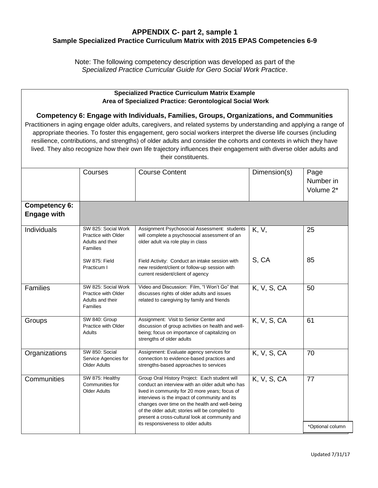### **APPENDIX C- part 2, sample 1 Sample Specialized Practice Curriculum Matrix with 2015 EPAS Competencies 6-9**

Note: The following competency description was developed as part of the *Specialized Practice Curricular Guide for Gero Social Work Practice*.

#### **Specialized Practice Curriculum Matrix Example Area of Specialized Practice: Gerontological Social Work**

#### **Competency 6: Engage with Individuals, Families, Groups, Organizations, and Communities**

Practitioners in aging engage older adults, caregivers, and related systems by understanding and applying a range of appropriate theories. To foster this engagement, gero social workers interpret the diverse life courses (including resilience, contributions, and strengths) of older adults and consider the cohorts and contexts in which they have lived. They also recognize how their own life trajectory influences their engagement with diverse older adults and their constituents.

|                                            | Courses                                                                    | <b>Course Content</b>                                                                                                                                                                                                                                                                                                                                       | Dimension(s) | Page<br>Number in<br>Volume 2* |
|--------------------------------------------|----------------------------------------------------------------------------|-------------------------------------------------------------------------------------------------------------------------------------------------------------------------------------------------------------------------------------------------------------------------------------------------------------------------------------------------------------|--------------|--------------------------------|
| <b>Competency 6:</b><br><b>Engage with</b> |                                                                            |                                                                                                                                                                                                                                                                                                                                                             |              |                                |
| Individuals                                | SW 825: Social Work<br>Practice with Older<br>Adults and their<br>Families | Assignment Psychosocial Assessment: students<br>will complete a psychosocial assessment of an<br>older adult via role play in class                                                                                                                                                                                                                         | K, V,        | 25                             |
|                                            | SW 875: Field<br>Practicum I                                               | Field Activity: Conduct an intake session with<br>new resident/client or follow-up session with<br>current resident/client of agency                                                                                                                                                                                                                        | S, CA        | 85                             |
| <b>Families</b>                            | SW 825: Social Work<br>Practice with Older<br>Adults and their<br>Families | Video and Discussion: Film, "I Won't Go" that<br>discusses rights of older adults and issues<br>related to caregiving by family and friends                                                                                                                                                                                                                 | K, V, S, CA  | 50                             |
| Groups                                     | SW 840: Group<br>Practice with Older<br>Adults                             | Assignment: Visit to Senior Center and<br>discussion of group activities on health and well-<br>being; focus on importance of capitalizing on<br>strengths of older adults                                                                                                                                                                                  | K, V, S, CA  | 61                             |
| Organizations                              | SW 850: Social<br>Service Agencies for<br>Older Adults                     | Assignment: Evaluate agency services for<br>connection to evidence-based practices and<br>strengths-based approaches to services                                                                                                                                                                                                                            | K, V, S, CA  | 70                             |
| Communities                                | SW 875: Healthy<br>Communities for<br><b>Older Adults</b>                  | Group Oral History Project: Each student will<br>conduct an interview with an older adult who has<br>lived in community for 20 more years; focus of<br>interviews is the impact of community and its<br>changes over time on the health and well-being<br>of the older adult; stories will be compiled to<br>present a cross-cultural look at community and | K, V, S, CA  | 77                             |
|                                            |                                                                            | its responsiveness to older adults                                                                                                                                                                                                                                                                                                                          |              | *Optional column               |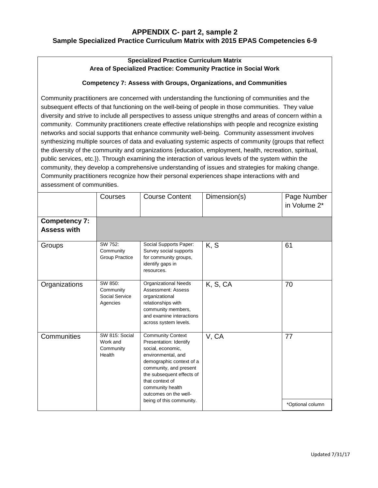### **APPENDIX C- part 2, sample 2 Sample Specialized Practice Curriculum Matrix with 2015 EPAS Competencies 6-9**

#### **Specialized Practice Curriculum Matrix Area of Specialized Practice: Community Practice in Social Work**

#### **Competency 7: Assess with Groups, Organizations, and Communities**

Community practitioners are concerned with understanding the functioning of communities and the subsequent effects of that functioning on the well-being of people in those communities. They value diversity and strive to include all perspectives to assess unique strengths and areas of concern within a community. Community practitioners create effective relationships with people and recognize existing networks and social supports that enhance community well-being. Community assessment involves synthesizing multiple sources of data and evaluating systemic aspects of community (groups that reflect the diversity of the community and organizations {education, employment, health, recreation, spiritual, public services, etc.}). Through examining the interaction of various levels of the system within the community, they develop a comprehensive understanding of issues and strategies for making change. Community practitioners recognize how their personal experiences shape interactions with and assessment of communities.

|                                            | Courses                                            | <b>Course Content</b>                                                                                                                                                                                                                            | Dimension(s) | Page Number<br>in Volume 2* |
|--------------------------------------------|----------------------------------------------------|--------------------------------------------------------------------------------------------------------------------------------------------------------------------------------------------------------------------------------------------------|--------------|-----------------------------|
| <b>Competency 7:</b><br><b>Assess with</b> |                                                    |                                                                                                                                                                                                                                                  |              |                             |
| Groups                                     | SW 752:<br>Community<br>Group Practice             | Social Supports Paper:<br>Survey social supports<br>for community groups,<br>identify gaps in<br>resources.                                                                                                                                      | K, S         | 61                          |
| Organizations                              | SW 850:<br>Community<br>Social Service<br>Agencies | <b>Organizational Needs</b><br>Assessment: Assess<br>organizational<br>relationships with<br>community members,<br>and examine interactions<br>across system levels.                                                                             | K, S, CA     | 70                          |
| Communities                                | SW 815: Social<br>Work and<br>Community<br>Health  | <b>Community Context</b><br>Presentation: Identify<br>social, economic,<br>environmental, and<br>demographic context of a<br>community, and present<br>the subsequent effects of<br>that context of<br>community health<br>outcomes on the well- | V, CA        | 77                          |
|                                            |                                                    | being of this community.                                                                                                                                                                                                                         |              | *Optional column            |